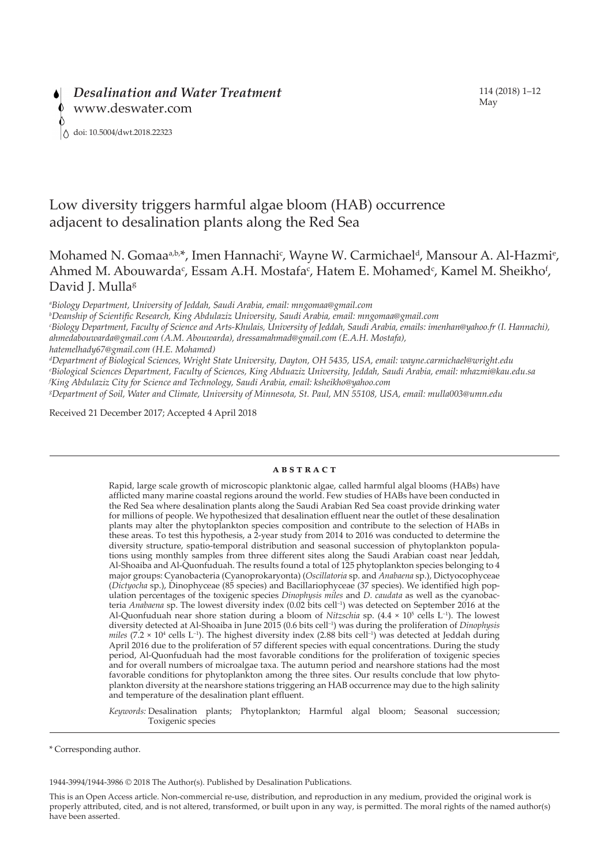# Low diversity triggers harmful algae bloom (HAB) occurrence adjacent to desalination plants along the Red Sea

## Mohamed N. Gomaa<sup>a,b,\*</sup>, Imen Hannachi<sup>c</sup>, Wayne W. Carmichael<sup>d</sup>, Mansour A. Al-Hazmi<sup>e</sup>, Ahmed M. Abouwarda<sup>c</sup>, Essam A.H. Mostafa<sup>c</sup>, Hatem E. Mohamed<sup>c</sup>, Kamel M. Sheikho<sup>f</sup>, David J. Mulla<sup>g</sup>

*a Biology Department, University of Jeddah, Saudi Arabia, email: mngomaa@gmail.com*

*b Deanship of Scientific Research, King Abdulaziz University, Saudi Arabia, email: mngomaa@gmail.com*

*c Biology Department, Faculty of Science and Arts-Khulais, University of Jeddah, Saudi Arabia, emails: imenhan@yahoo.fr (I. Hannachi), ahmedabouwarda@gmail.com (A.M. Abouwarda), dressamahmad@gmail.com (E.A.H. Mostafa), hatemelhady67@gmail.com (H.E. Mohamed)*

*d Department of Biological Sciences, Wright State University, Dayton, OH 5435, USA, email: wayne.carmichael@wright.edu e Biological Sciences Department, Faculty of Sciences, King Abduaziz University, Jeddah, Saudi Arabia, email: mhazmi@kau.edu.sa f King Abdulaziz City for Science and Technology, Saudi Arabia, email: ksheikho@yahoo.com* 

*g Department of Soil, Water and Climate, University of Minnesota, St. Paul, MN 55108, USA, email: mulla003@umn.edu* 

Received 21 December 2017; Accepted 4 April 2018

## **abstract**

Rapid, large scale growth of microscopic planktonic algae, called harmful algal blooms (HABs) have afflicted many marine coastal regions around the world. Few studies of HABs have been conducted in the Red Sea where desalination plants along the Saudi Arabian Red Sea coast provide drinking water for millions of people. We hypothesized that desalination effluent near the outlet of these desalination plants may alter the phytoplankton species composition and contribute to the selection of HABs in these areas. To test this hypothesis, a 2-year study from 2014 to 2016 was conducted to determine the diversity structure, spatio-temporal distribution and seasonal succession of phytoplankton populations using monthly samples from three different sites along the Saudi Arabian coast near Jeddah, Al-Shoaiba and Al-Quonfuduah. The results found a total of 125 phytoplankton species belonging to 4 major groups: Cyanobacteria (Cyanoprokaryonta) (*Oscillatoria* sp. and *Anabaena* sp.), Dictyocophyceae (*Dictyocha* sp.), Dinophyceae (85 species) and Bacillariophyceae (37 species). We identified high population percentages of the toxigenic species *Dinophysis miles* and *D. caudata* as well as the cyanobacteria *Anabaena* sp. The lowest diversity index (0.02 bits cell–1) was detected on September 2016 at the Al-Quonfuduah near shore station during a bloom of *Nitzschia* sp. (4.4 × 10<sup>5</sup> cells L<sup>-1</sup>). The lowest diversity detected at Al-Shoaiba in June 2015 (0.6 bits cell–1) was during the proliferation of *Dinophysis miles* (7.2  $\times$  10<sup>4</sup> cells L<sup>-1</sup>). The highest diversity index (2.88 bits cell<sup>-1</sup>) was detected at Jeddah during April 2016 due to the proliferation of 57 different species with equal concentrations. During the study period, Al-Quonfuduah had the most favorable conditions for the proliferation of toxigenic species and for overall numbers of microalgae taxa. The autumn period and nearshore stations had the most favorable conditions for phytoplankton among the three sites. Our results conclude that low phytoplankton diversity at the nearshore stations triggering an HAB occurrence may due to the high salinity and temperature of the desalination plant effluent.

*Keywords:* Desalination plants; Phytoplankton; Harmful algal bloom; Seasonal succession; Toxigenic species

1944-3994/1944-3986 © 2018 The Author(s). Published by Desalination Publications.

This is an Open Access article. Non-commercial re-use, distribution, and reproduction in any medium, provided the original work is properly attributed, cited, and is not altered, transformed, or built upon in any way, is permitted. The moral rights of the named author(s) have been asserted.

<sup>\*</sup> Corresponding author.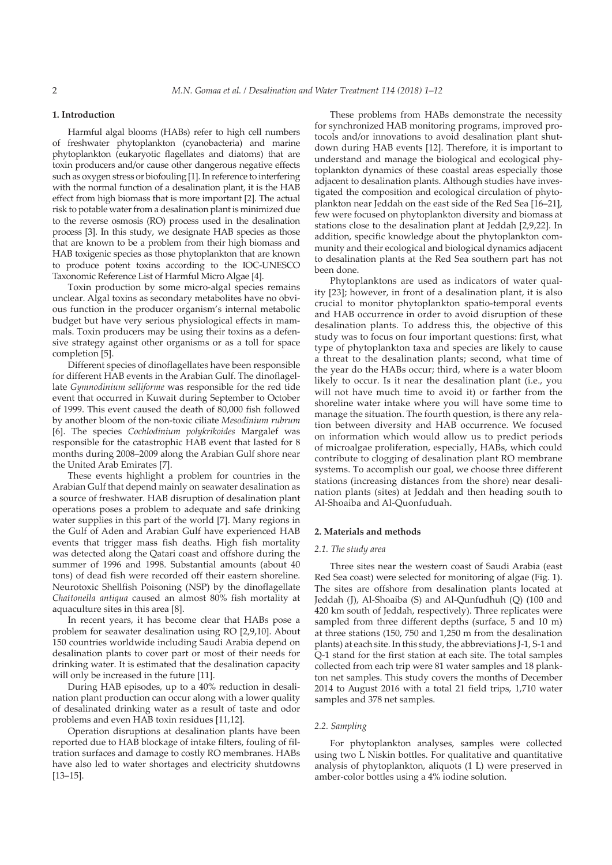## **1. Introduction**

Harmful algal blooms (HABs) refer to high cell numbers of freshwater phytoplankton (cyanobacteria) and marine phytoplankton (eukaryotic flagellates and diatoms) that are toxin producers and/or cause other dangerous negative effects such as oxygen stress or biofouling [1]. In reference to interfering with the normal function of a desalination plant, it is the HAB effect from high biomass that is more important [2]. The actual risk to potable water from a desalination plant is minimized due to the reverse osmosis (RO) process used in the desalination process [3]. In this study, we designate HAB species as those that are known to be a problem from their high biomass and HAB toxigenic species as those phytoplankton that are known to produce potent toxins according to the IOC-UNESCO Taxonomic Reference List of Harmful Micro Algae [4].

Toxin production by some micro-algal species remains unclear. Algal toxins as secondary metabolites have no obvious function in the producer organism's internal metabolic budget but have very serious physiological effects in mammals. Toxin producers may be using their toxins as a defensive strategy against other organisms or as a toll for space completion [5].

Different species of dinoflagellates have been responsible for different HAB events in the Arabian Gulf. The dinoflagellate *Gymnodinium selliforme* was responsible for the red tide event that occurred in Kuwait during September to October of 1999. This event caused the death of 80,000 fish followed by another bloom of the non-toxic ciliate *Mesodinium rubrum* [6]. The species *Cochlodinium polykrikoides* Margalef was responsible for the catastrophic HAB event that lasted for 8 months during 2008–2009 along the Arabian Gulf shore near the United Arab Emirates [7].

These events highlight a problem for countries in the Arabian Gulf that depend mainly on seawater desalination as a source of freshwater. HAB disruption of desalination plant operations poses a problem to adequate and safe drinking water supplies in this part of the world [7]. Many regions in the Gulf of Aden and Arabian Gulf have experienced HAB events that trigger mass fish deaths. High fish mortality was detected along the Qatari coast and offshore during the summer of 1996 and 1998. Substantial amounts (about 40 tons) of dead fish were recorded off their eastern shoreline. Neurotoxic Shellfish Poisoning (NSP) by the dinoflagellate *Chattonella antiqua* caused an almost 80% fish mortality at aquaculture sites in this area [8].

In recent years, it has become clear that HABs pose a problem for seawater desalination using RO [2,9,10]. About 150 countries worldwide including Saudi Arabia depend on desalination plants to cover part or most of their needs for drinking water. It is estimated that the desalination capacity will only be increased in the future [11].

During HAB episodes, up to a 40% reduction in desalination plant production can occur along with a lower quality of desalinated drinking water as a result of taste and odor problems and even HAB toxin residues [11,12].

Operation disruptions at desalination plants have been reported due to HAB blockage of intake filters, fouling of filtration surfaces and damage to costly RO membranes. HABs have also led to water shortages and electricity shutdowns [13–15].

These problems from HABs demonstrate the necessity for synchronized HAB monitoring programs, improved protocols and/or innovations to avoid desalination plant shutdown during HAB events [12]. Therefore, it is important to understand and manage the biological and ecological phytoplankton dynamics of these coastal areas especially those adjacent to desalination plants. Although studies have investigated the composition and ecological circulation of phytoplankton near Jeddah on the east side of the Red Sea [16–21], few were focused on phytoplankton diversity and biomass at stations close to the desalination plant at Jeddah [2,9,22]. In addition, specific knowledge about the phytoplankton community and their ecological and biological dynamics adjacent to desalination plants at the Red Sea southern part has not been done.

Phytoplanktons are used as indicators of water quality [23]; however, in front of a desalination plant, it is also crucial to monitor phytoplankton spatio-temporal events and HAB occurrence in order to avoid disruption of these desalination plants. To address this, the objective of this study was to focus on four important questions: first, what type of phytoplankton taxa and species are likely to cause a threat to the desalination plants; second, what time of the year do the HABs occur; third, where is a water bloom likely to occur. Is it near the desalination plant (i.e., you will not have much time to avoid it) or farther from the shoreline water intake where you will have some time to manage the situation. The fourth question, is there any relation between diversity and HAB occurrence. We focused on information which would allow us to predict periods of microalgae proliferation, especially, HABs, which could contribute to clogging of desalination plant RO membrane systems. To accomplish our goal, we choose three different stations (increasing distances from the shore) near desalination plants (sites) at Jeddah and then heading south to Al-Shoaiba and Al-Quonfuduah.

#### **2. Materials and methods**

#### *2.1. The study area*

Three sites near the western coast of Saudi Arabia (east Red Sea coast) were selected for monitoring of algae (Fig. 1). The sites are offshore from desalination plants located at Jeddah (J), Al-Shoaiba (S) and Al-Qunfudhuh (Q) (100 and 420 km south of Jeddah, respectively). Three replicates were sampled from three different depths (surface, 5 and 10 m) at three stations (150, 750 and 1,250 m from the desalination plants) at each site. In this study, the abbreviations J-1, S-1 and Q-1 stand for the first station at each site. The total samples collected from each trip were 81 water samples and 18 plankton net samples. This study covers the months of December 2014 to August 2016 with a total 21 field trips, 1,710 water samples and 378 net samples.

## *2.2. Sampling*

For phytoplankton analyses, samples were collected using two L Niskin bottles. For qualitative and quantitative analysis of phytoplankton, aliquots (1 L) were preserved in amber-color bottles using a 4% iodine solution.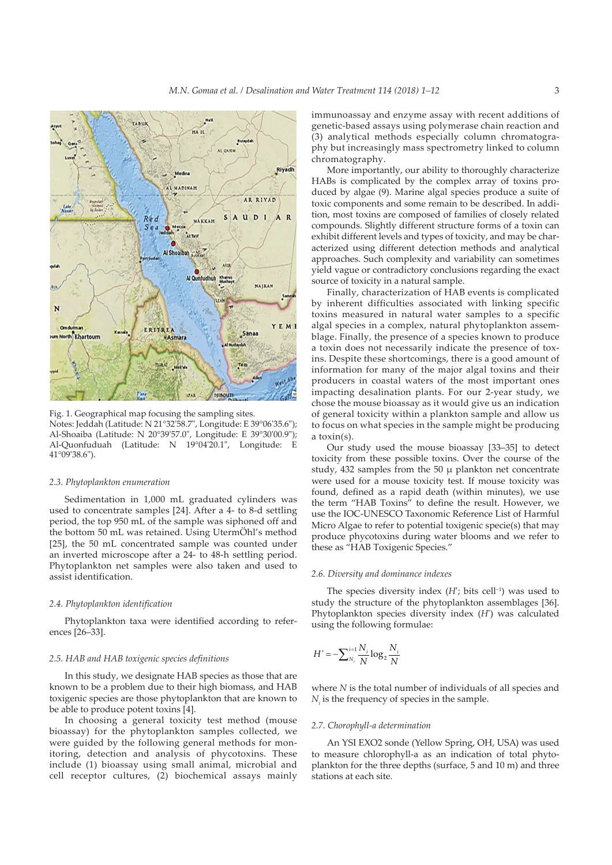

Fig. 1. Geographical map focusing the sampling sites. Notes: Jeddah (Latitude: N 21°32ʹ58.7ʺ, Longitude: E 39°06ʹ35.6ʺ); Al-Shoaiba (Latitude: N 20°39'57.0", Longitude: E 39°30'00.9"); Al-Quonfuduah (Latitude: N 19°04'20.1", Longitude: E 41°09ʹ38.6ʺ).

#### *2.3. Phytoplankton enumeration*

Sedimentation in 1,000 mL graduated cylinders was used to concentrate samples [24]. After a 4- to 8-d settling period, the top 950 mL of the sample was siphoned off and the bottom 50 mL was retained. Using UtermÖhl's method [25], the 50 mL concentrated sample was counted under an inverted microscope after a 24- to 48-h settling period. Phytoplankton net samples were also taken and used to assist identification.

#### *2.4. Phytoplankton identification*

Phytoplankton taxa were identified according to references [26–33].

### *2.5. HAB and HAB toxigenic species definitions*

In this study, we designate HAB species as those that are known to be a problem due to their high biomass, and HAB toxigenic species are those phytoplankton that are known to be able to produce potent toxins [4].

In choosing a general toxicity test method (mouse bioassay) for the phytoplankton samples collected, we were guided by the following general methods for monitoring, detection and analysis of phycotoxins. These include (1) bioassay using small animal, microbial and cell receptor cultures, (2) biochemical assays mainly immunoassay and enzyme assay with recent additions of genetic-based assays using polymerase chain reaction and (3) analytical methods especially column chromatography but increasingly mass spectrometry linked to column chromatography.

More importantly, our ability to thoroughly characterize HABs is complicated by the complex array of toxins produced by algae (9). Marine algal species produce a suite of toxic components and some remain to be described. In addition, most toxins are composed of families of closely related compounds. Slightly different structure forms of a toxin can exhibit different levels and types of toxicity, and may be characterized using different detection methods and analytical approaches. Such complexity and variability can sometimes yield vague or contradictory conclusions regarding the exact source of toxicity in a natural sample.

Finally, characterization of HAB events is complicated by inherent difficulties associated with linking specific toxins measured in natural water samples to a specific algal species in a complex, natural phytoplankton assemblage. Finally, the presence of a species known to produce a toxin does not necessarily indicate the presence of toxins. Despite these shortcomings, there is a good amount of information for many of the major algal toxins and their producers in coastal waters of the most important ones impacting desalination plants. For our 2-year study, we chose the mouse bioassay as it would give us an indication of general toxicity within a plankton sample and allow us to focus on what species in the sample might be producing a toxin(s).

Our study used the mouse bioassay [33–35] to detect toxicity from these possible toxins. Over the course of the study,  $432$  samples from the  $50 \mu$  plankton net concentrate were used for a mouse toxicity test. If mouse toxicity was found, defined as a rapid death (within minutes), we use the term "HAB Toxins" to define the result. However, we use the IOC-UNESCO Taxonomic Reference List of Harmful Micro Algae to refer to potential toxigenic specie(s) that may produce phycotoxins during water blooms and we refer to these as "HAB Toxigenic Species."

#### *2.6. Diversity and dominance indexes*

The species diversity index  $(H)$ ; bits cell<sup>-1</sup>) was used to study the structure of the phytoplankton assemblages [36]. Phytoplankton species diversity index (*H*ʹ) was calculated using the following formulae:

$$
H' = -\sum_{N_i}^{i=1} \frac{N_i}{N} \log_2 \frac{N_i}{N}
$$

where *N* is the total number of individuals of all species and  $N_i$  is the frequency of species in the sample.

## *2.7. Chorophyll-a determination*

An YSI EXO2 sonde (Yellow Spring, OH, USA) was used to measure chlorophyll-a as an indication of total phytoplankton for the three depths (surface, 5 and 10 m) and three stations at each site.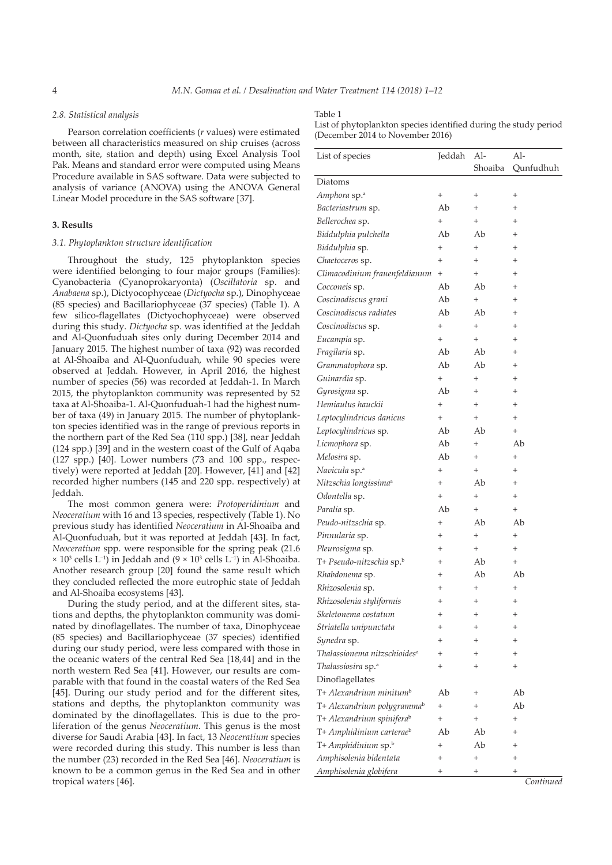## *2.8. Statistical analysis*

Pearson correlation coefficients (*r* values) were estimated between all characteristics measured on ship cruises (across month, site, station and depth) using Excel Analysis Tool Pak. Means and standard error were computed using Means Procedure available in SAS software. Data were subjected to analysis of variance (ANOVA) using the ANOVA General Linear Model procedure in the SAS software [37].

## **3. Results**

## *3.1. Phytoplankton structure identification*

Throughout the study, 125 phytoplankton species were identified belonging to four major groups (Families): Cyanobacteria (Cyanoprokaryonta) (*Oscillatoria* sp. and *Anabaena* sp.), Dictyocophyceae (*Dictyocha* sp.), Dinophyceae (85 species) and Bacillariophyceae (37 species) (Table 1). A few silico-flagellates (Dictyochophyceae) were observed during this study. *Dictyocha* sp. was identified at the Jeddah and Al-Quonfuduah sites only during December 2014 and January 2015. The highest number of taxa (92) was recorded at Al-Shoaiba and Al-Quonfuduah, while 90 species were observed at Jeddah. However, in April 2016, the highest number of species (56) was recorded at Jeddah-1. In March 2015, the phytoplankton community was represented by 52 taxa at Al-Shoaiba-1. Al-Quonfuduah-1 had the highest number of taxa (49) in January 2015. The number of phytoplankton species identified was in the range of previous reports in the northern part of the Red Sea (110 spp.) [38], near Jeddah (124 spp.) [39] and in the western coast of the Gulf of Aqaba (127 spp.) [40]. Lower numbers (73 and 100 spp., respectively) were reported at Jeddah [20]. However, [41] and [42] recorded higher numbers (145 and 220 spp. respectively) at Jeddah.

The most common genera were: *Protoperidinium* and *Neoceratium* with 16 and 13 species, respectively (Table 1). No previous study has identified *Neoceratium* in Al-Shoaiba and Al-Quonfuduah, but it was reported at Jeddah [43]. In fact, *Neoceratium* spp. were responsible for the spring peak (21.6  $\times$  10<sup>3</sup> cells L<sup>-1</sup>) in Jeddah and (9  $\times$  10<sup>3</sup> cells L<sup>-1</sup>) in Al-Shoaiba. Another research group [20] found the same result which they concluded reflected the more eutrophic state of Jeddah and Al-Shoaiba ecosystems [43].

During the study period, and at the different sites, stations and depths, the phytoplankton community was dominated by dinoflagellates. The number of taxa, Dinophyceae (85 species) and Bacillariophyceae (37 species) identified during our study period, were less compared with those in the oceanic waters of the central Red Sea [18,44] and in the north western Red Sea [41]. However, our results are comparable with that found in the coastal waters of the Red Sea [45]. During our study period and for the different sites, stations and depths, the phytoplankton community was dominated by the dinoflagellates. This is due to the proliferation of the genus *Neoceratium*. This genus is the most diverse for Saudi Arabia [43]. In fact, 13 *Neoceratium* species were recorded during this study. This number is less than the number (23) recorded in the Red Sea [46]. *Neoceratium* is known to be a common genus in the Red Sea and in other tropical waters [46].

#### Table 1

List of phytoplankton species identified during the study period (December 2014 to November 2016)

| List of species                          | Jeddah         | $Al-$        | Al-            |
|------------------------------------------|----------------|--------------|----------------|
|                                          |                | Shoaiba      | Qunfudhuh      |
| Diatoms                                  |                |              |                |
| Amphora sp. <sup>a</sup>                 | $^{+}$         | $\hbox{+}$   | $\,^+$         |
| Bacteriastrum sp.                        | Ab             | $^{+}$       | $^{+}$         |
| Bellerochea sp.                          | $^{+}$         | $^{+}$       | $\overline{+}$ |
| Biddulphia pulchella                     | Ab             | Ab           | $\overline{+}$ |
| Biddulphia sp.                           | $^{+}$         | $^{+}$       | $\overline{+}$ |
| Chaetoceros sp.                          | $^{+}$         | $^{+}$       | $\ddot{}$      |
| Climacodinium frauenfeldianum            | $^{+}$         | $^{+}$       | $\overline{+}$ |
| Cocconeis sp.                            | Ab             | Ab           | $\overline{+}$ |
| Coscinodiscus grani                      | Ab             | $^{+}$       | $\overline{+}$ |
| Coscinodiscus radiates                   | Ab             | Ab           | $\ddot{}$      |
| Coscinodiscus sp.                        | $^{+}$         | $^{+}$       | $\ddot{}$      |
| Eucampia sp.                             | $^{+}$         | $^{+}$       | $^{+}$         |
| Fragilaria sp.                           | Ab             | Ab           | $\ddot{}$      |
| Grammatophora sp.                        | Ab             | Ab           | $\ddot{}$      |
| Guinardia sp.                            | $^{+}$         | $^{+}$       | $\overline{+}$ |
| Gyrosigma sp.                            | Ab             | $^{+}$       | $^{+}$         |
| Hemiaulus hauckii                        | $^{+}$         | $^{+}$       | $\overline{+}$ |
| Leptocylindricus danicus                 | $^{+}$         | $^{+}$       | $^{+}$         |
| Leptocylindricus sp.                     | Ab             | Ab           | $^{+}$         |
| Licmophora sp.                           | Ab             | $^{+}$       | Ab             |
| Melosira sp.                             | Ab             | $^{+}$       | $^{+}$         |
| Navicula sp. <sup>a</sup>                | $^{+}$         | $^{+}$       | $^{+}$         |
| Nitzschia longissima <sup>a</sup>        | $^{+}$         | Ab           | $\overline{+}$ |
| Odontella sp.                            | $^{+}$         | $^{+}$       | $\ddot{}$      |
| Paralia sp.                              | Ab             | $^{+}$       | $^{+}$         |
| Peudo-nitzschia sp.                      | $^{+}$         | Ab           | Ab             |
| Pinnularia sp.                           | $^{+}$         | $^{+}$       | $^{+}$         |
| Pleurosigma sp.                          | $^{+}$         | $^{+}$       | $+$            |
| T+ Pseudo-nitzschia sp.b                 | $\,{}^{+}\,$   | Ab           | $^{+}$         |
| Rhabdonema sp.                           | $^{+}$         | Ab           | Ab             |
| Rhizosolenia sp.                         | $\ddot{}$      | $^{+}$       | $^{+}$         |
| Rhizosolenia styliformis                 | $\overline{+}$ | $^{+}$       | $^{+}$         |
| Skeletonema costatum                     | $\,{}^+$       | $^+$         | $\,{}^+$       |
| Striatella unipunctata                   | +              |              |                |
| Synedra sp.                              | $\ddot{}$      |              |                |
| Thalassionema nitzschioides <sup>a</sup> | $\ddot{}$      |              |                |
| Thalassiosira sp.ª                       | $\overline{+}$ | $^{+}$       | $\overline{+}$ |
| Dinoflagellates                          |                |              |                |
| T+ Alexandrium minitum <sup>ь</sup>      | Ab             | $^+$         | Ab             |
| T+ Alexandrium polygramma <sup>b</sup>   | $^{+}$         |              | Ab             |
| T+ Alexandrium spinifera <sup>b</sup>    | $\hbox{+}$     | $\ddot{}$    | $\overline{+}$ |
| T+ Amphidinium carteraeb                 | Ab             | Ab           |                |
| T+ Amphidinium sp.b                      | $^{+}$         | Ab           |                |
| Amphisolenia bidentata                   | $\ddot{}$      | $\ddot{}$    |                |
| Amphisolenia globifera                   | $\,{}^+$       | $\,{}^{+}\,$ | $\,{}^{+}\,$   |
|                                          |                |              |                |

*Continued*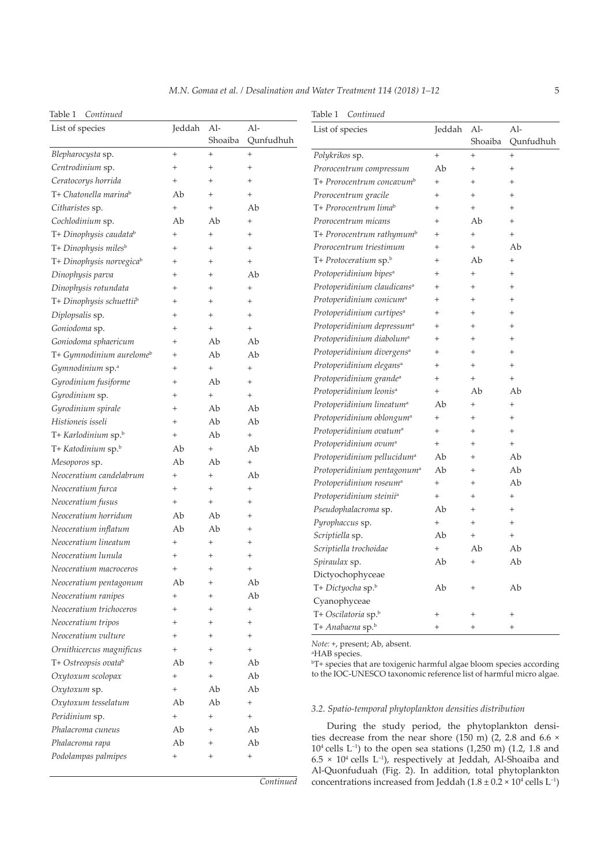Table 1 *Continued*

| Table 1<br>Continued                 |                   |                |                    | Continued<br>Table 1                                                                                                                                   |                   |                   |                    |
|--------------------------------------|-------------------|----------------|--------------------|--------------------------------------------------------------------------------------------------------------------------------------------------------|-------------------|-------------------|--------------------|
| List of species                      | Jeddah Al-        | Shoaiba        | $Al-$<br>Qunfudhuh | List of species                                                                                                                                        | Jeddah            | Al-<br>Shoaiba    | $Al-$<br>Qunfudhuh |
| Blepharocysta sp.                    | $^{+}$            | $^{+}$         | $+$                | Polykrikos sp.                                                                                                                                         | $+$               | $\! + \!\!\!\!$   | $\ddot{}$          |
| Centrodinium sp.                     | $^{+}$            | $^{+}$         | $^{+}$             | Prorocentrum compressum                                                                                                                                | Ab                | $^{+}$            | $^{+}$             |
| Ceratocorys horrida                  | $^{+}$            | $^{+}$         | $^{+}$             | T+ Prorocentrum concavum <sup>b</sup>                                                                                                                  | $\qquad \qquad +$ | $\qquad \qquad +$ | $^{+}$             |
| T+ Chatonella marina <sup>b</sup>    | Ab                | $^{+}$         | $^{+}$             | Prorocentrum gracile                                                                                                                                   | $^{+}$            | $^{+}$            | $^{+}$             |
| Citharistes sp.                      | $\qquad \qquad +$ | $^{+}$         | Ab                 | T+ Prorocentrum lima <sup>b</sup>                                                                                                                      | $\qquad \qquad +$ | $\! + \!\!\!\!$   | $\ddot{}$          |
| Cochlodinium sp.                     | Ab                | Ab             | $^{+}$             | Prorocentrum micans                                                                                                                                    | $^{+}$            | Ab                | $^{+}$             |
| T+ Dinophysis caudata <sup>b</sup>   | $^{+}$            | $^{+}$         | $^{+}$             | T+ Prorocentrum rathymum <sup>b</sup>                                                                                                                  | $^{+}$            | $\! + \!\!\!\!$   | $\ddot{}$          |
| T+ Dinophysis miles <sup>b</sup>     | $^{+}$            | $^{+}$         | $^{+}$             | Prorocentrum triestimum                                                                                                                                | $^{+}$            | $^{+}$            | Ab                 |
| T+ Dinophysis norvegicab             | $^{+}$            | $\overline{+}$ | $^{+}$             | T+ Protoceratium sp.b                                                                                                                                  | $^{+}$            | Ab                | $\qquad \qquad +$  |
| Dinophysis parva                     | $^{+}$            | $^{+}$         | Ab                 | Protoperidinium bipes <sup>a</sup>                                                                                                                     | $^{+}$            | $^{+}$            | $^{+}$             |
| Dinophysis rotundata                 | $^{+}$            | $^{+}$         | $^{+}$             | Protoperidinium claudicans <sup>a</sup>                                                                                                                | $^{+}$            | $^{+}$            | $\ddot{}$          |
| T+ Dinophysis schuettiib             | $^{+}$            | $\overline{+}$ | $^{+}$             | Protoperidinium conicum <sup>a</sup>                                                                                                                   | $^{+}$            | $^{+}$            | $^{+}$             |
| Diplopsalis sp.                      | $^{+}$            | $^{+}$         | $^{+}$             | Protoperidinium curtipes <sup>a</sup>                                                                                                                  | $^{+}$            | $\qquad \qquad +$ | $\ddot{}$          |
| Goniodoma sp.                        | $^{+}$            | $^{+}$         | $^{+}$             | Protoperidinium depressum <sup>a</sup>                                                                                                                 | $^{+}$            | $^{+}$            | $^{+}$             |
| Goniodoma sphaericum                 | $^{+}$            | Ab             | Ab                 | Protoperidinium diabolum <sup>a</sup>                                                                                                                  | $^{+}$            | $\qquad \qquad +$ | $\ddot{}$          |
| T+ Gymnodinium aurelome <sup>b</sup> | $^{+}$            | Ab             | Ab                 | Protoperidinium divergens <sup>a</sup>                                                                                                                 | $^{+}$            | $^{+}$            | $^{+}$             |
| Gymnodinium sp. <sup>a</sup>         | $^{+}$            | $^{+}$         | $^{+}$             | Protoperidinium elegans <sup>a</sup>                                                                                                                   | $^{+}$            | $^{+}$            | $\qquad \qquad +$  |
| Gyrodinium fusiforme                 | $^{+}$            | Ab             | $^{+}$             | Protoperidinium grande <sup>a</sup>                                                                                                                    | $^{+}$            | $\! + \!\!\!\!$   | $\ddot{}$          |
| Gyrodinium sp.                       | $^{+}$            | $^{+}$         | $^{+}$             | Protoperidinium leonis <sup>a</sup>                                                                                                                    | $\qquad \qquad +$ | Ab                | Ab                 |
| Gyrodinium spirale                   | $^{+}$            | Ab             | Ab                 | Protoperidinium lineatum <sup>a</sup>                                                                                                                  | Ab                | $^{+}$            | $^{+}$             |
| Histioneis isseli                    | $^{+}$            | Ab             | Ab                 | Protoperidinium oblongum <sup>a</sup>                                                                                                                  | $\qquad \qquad +$ | $^{+}$            | $\ddot{}$          |
| T+ Karlodinium sp.b                  | $^{+}$            | Ab             | $^{+}$             | Protoperidinium ovatum <sup>a</sup>                                                                                                                    | $^{+}$            | $^{+}$            | $^{+}$             |
| T+ Katodinium sp.b                   | Ab                | $^{+}$         | Ab                 | Protoperidinium ovum <sup>a</sup>                                                                                                                      | $+$               | $^{+}$            | $^{+}$             |
| Mesoporos sp.                        | Ab                | Ab             | $^{+}$             | Protoperidinium pellucidum <sup>a</sup>                                                                                                                | Ab                | $^{+}$            | Ab                 |
| Neoceratium candelabrum              | $^{+}$            | $^{+}$         | Ab                 | Protoperidinium pentagonum <sup>a</sup>                                                                                                                | Ab                | $^{+}$            | Ab                 |
| Neoceratium furca                    | $^{+}$            | $^{+}$         | $^{+}$             | Protoperidinium roseum <sup>a</sup>                                                                                                                    | $^{+}$            | $^{+}$            | Ab                 |
| Neoceratium fusus                    | $^{+}$            | $^{+}$         | $\qquad \qquad +$  | Protoperidinium steinii <sup>a</sup>                                                                                                                   | $+$               | $^{+}$            | $^{+}$             |
| Neoceratium horridum                 | Ab                | Ab             | $^{+}$             | Pseudophalacroma sp.                                                                                                                                   | Ab                | $^{+}$            | $^{+}$             |
| Neoceratium inflatum                 | Ab                | Ab             | $^{+}$             | Pyrophaccus sp.                                                                                                                                        | $+$               | $^{+}$            | $\ddot{}$          |
| Neoceratium lineatum                 | $^{+}$            | $^{+}$         | $^{+}$             | Scriptiella sp.                                                                                                                                        | Ab                | $\! + \!\!\!\!$   | $\ddot{}$          |
| Neoceratium lunula                   | $^{+}$            | $^{+}$         | $^{+}$             | Scriptiella trochoidae                                                                                                                                 | $+$               | Ab                | Ab                 |
| Neoceratium macroceros               |                   |                |                    | Spiraulax sp.                                                                                                                                          | Ab                | $\qquad \qquad +$ | Ab                 |
| Neoceratium pentagonum               | Ab                | $\ddot{}$      | Ab                 | Dictyochophyceae                                                                                                                                       |                   |                   |                    |
| Neoceratium ranipes                  | $\,{}^+$          | $^{+}$         | Ab                 | T+ Dictyocha sp.b                                                                                                                                      | Ab                |                   | Ab                 |
| Neoceratium trichoceros              | $\,{}^+$          | $^{+}$         | $^{+}$             | Cyanophyceae                                                                                                                                           |                   |                   |                    |
| Neoceratium tripos                   | $^+$              | $^{+}$         | $^{+}$             | T+ Oscilatoria sp.b                                                                                                                                    | $^{+}$            | $^{+}$            | $^{+}$             |
| Neoceratium vulture                  | $\overline{+}$    | $^{+}$         | $^{+}$             | T+ Anabaena sp.b                                                                                                                                       | $^{+}$            | $\! + \!\!\!\!$   | $\qquad \qquad +$  |
| Ornithicercus magnificus             | $^{+}$            | $^{+}$         | $^{+}$             | Note: +, present; Ab, absent.                                                                                                                          |                   |                   |                    |
| T+ Ostreopsis ovatab                 | Ab                | $^{+}$         | Ab                 | <sup>a</sup> HAB species.                                                                                                                              |                   |                   |                    |
| Oxytoxum scolopax                    | $^{+}$            | $^{+}$         | Ab                 | <sup>b</sup> T+ species that are toxigenic harmful algae bloom species according<br>to the IOC-UNESCO taxonomic reference list of harmful micro algae. |                   |                   |                    |
| Oxytoxum sp.                         | $^{+}$            | Ab             | Ab                 |                                                                                                                                                        |                   |                   |                    |
| Oxytoxum tesselatum                  | Ab                | Ab             | $^{+}$             |                                                                                                                                                        |                   |                   |                    |
|                                      | $^{+}$            | $^{+}$         | $^{+}$             | 3.2. Spatio-temporal phytoplankton densities distribution                                                                                              |                   |                   |                    |
| Peridinium sp.<br>Phalacroma cuneus  | Ab                | $^{+}$         | Ab                 | During the study period, the phytoplankton densi-                                                                                                      |                   |                   |                    |
|                                      | Ab                | $^{+}$         | Ab                 | ties decrease from the near shore (150 m) (2, 2.8 and 6.6 $\times$                                                                                     |                   |                   |                    |
| Phalacroma rapa                      |                   |                |                    | $104$ cells L <sup>-1</sup> ) to the open sea stations (1,250 m) (1.2, 1.8 and                                                                         |                   |                   |                    |
| Podolampas palmipes                  | $^{+}$            | $^{+}$         | $^{+}$             | $6.5 \times 10^4$ cells L <sup>-1</sup> ), respectively at Jeddah, Al-Shoaiba and                                                                      |                   |                   |                    |

*Continued*

concentrations increased from Jeddah  $(1.8 \pm 0.2 \times 10^4 \text{ cells L}^{-1})$ 

Al-Quonfuduah (Fig. 2). In addition, total phytoplankton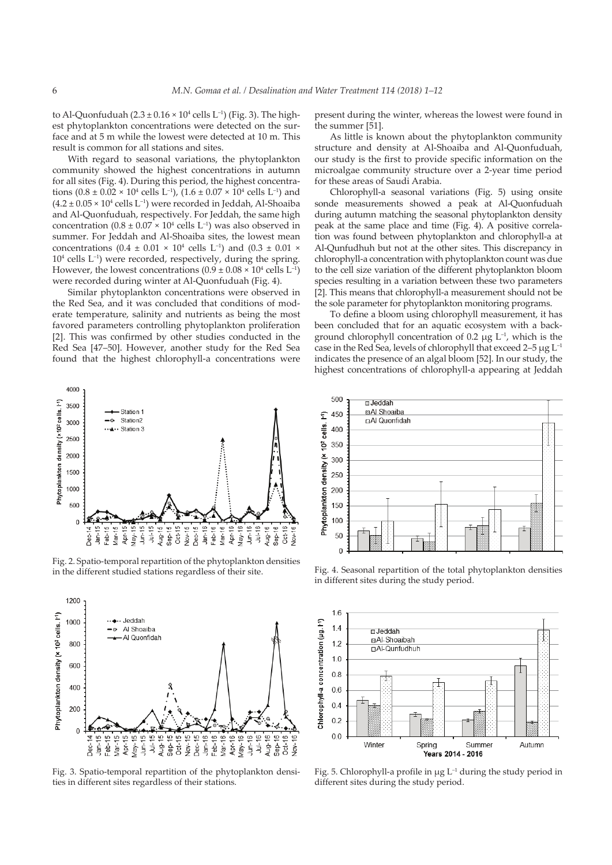to Al-Quonfuduah  $(2.3 \pm 0.16 \times 10^4 \text{ cells L}^{-1})$  (Fig. 3). The highest phytoplankton concentrations were detected on the surface and at 5 m while the lowest were detected at 10 m. This result is common for all stations and sites.

With regard to seasonal variations, the phytoplankton community showed the highest concentrations in autumn for all sites (Fig. 4). During this period, the highest concentrations  $(0.8 \pm 0.02 \times 10^4 \text{ cells L}^{-1})$ ,  $(1.6 \pm 0.07 \times 10^4 \text{ cells L}^{-1})$  and  $(4.2 \pm 0.05 \times 10^4 \text{ cells L}^{-1})$  were recorded in Jeddah, Al-Shoaiba and Al-Quonfuduah, respectively. For Jeddah, the same high concentration  $(0.8 \pm 0.07 \times 10^4 \text{ cells L}^{-1})$  was also observed in summer. For Jeddah and Al-Shoaiba sites, the lowest mean concentrations  $(0.4 \pm 0.01 \times 10^4 \text{ cells L}^{-1})$  and  $(0.3 \pm 0.01 \times$  $10<sup>4</sup>$  cells  $L<sup>-1</sup>$ ) were recorded, respectively, during the spring. However, the lowest concentrations  $(0.9 \pm 0.08 \times 10^4 \text{ cells L}^{-1})$ were recorded during winter at Al-Quonfuduah (Fig. 4).

Similar phytoplankton concentrations were observed in the Red Sea, and it was concluded that conditions of moderate temperature, salinity and nutrients as being the most favored parameters controlling phytoplankton proliferation [2]. This was confirmed by other studies conducted in the Red Sea [47–50]. However, another study for the Red Sea found that the highest chlorophyll-a concentrations were



Fig. 2. Spatio-temporal repartition of the phytoplankton densities in the different studied stations regardless of their site.



Fig. 3. Spatio-temporal repartition of the phytoplankton densities in different sites regardless of their stations.

present during the winter, whereas the lowest were found in the summer [51].

As little is known about the phytoplankton community structure and density at Al-Shoaiba and Al-Quonfuduah, our study is the first to provide specific information on the microalgae community structure over a 2-year time period for these areas of Saudi Arabia.

Chlorophyll-a seasonal variations (Fig. 5) using onsite sonde measurements showed a peak at Al-Quonfuduah during autumn matching the seasonal phytoplankton density peak at the same place and time (Fig. 4). A positive correlation was found between phytoplankton and chlorophyll-a at Al-Qunfudhuh but not at the other sites. This discrepancy in chlorophyll-a concentration with phytoplankton count was due to the cell size variation of the different phytoplankton bloom species resulting in a variation between these two parameters [2]. This means that chlorophyll-a measurement should not be the sole parameter for phytoplankton monitoring programs.

To define a bloom using chlorophyll measurement, it has been concluded that for an aquatic ecosystem with a background chlorophyll concentration of 0.2  $\mu$ g L<sup>-1</sup>, which is the case in the Red Sea, levels of chlorophyll that exceed  $2-5 \mu g L^{-1}$ indicates the presence of an algal bloom [52]. In our study, the highest concentrations of chlorophyll-a appearing at Jeddah



Fig. 4. Seasonal repartition of the total phytoplankton densities in different sites during the study period.



Fig. 5. Chlorophyll-a profile in  $\mu$ g L<sup>-1</sup> during the study period in different sites during the study period.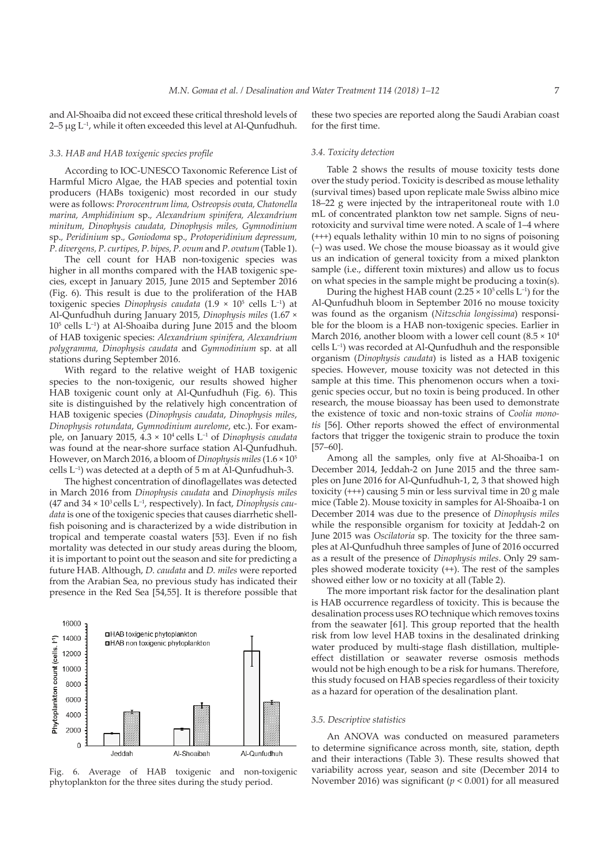and Al-Shoaiba did not exceed these critical threshold levels of  $2-5 \mu$ g L<sup>-1</sup>, while it often exceeded this level at Al-Qunfudhuh.

these two species are reported along the Saudi Arabian coast for the first time.

## *3.3. HAB and HAB toxigenic species profile*

According to IOC-UNESCO Taxonomic Reference List of Harmful Micro Algae, the HAB species and potential toxin producers (HABs toxigenic) most recorded in our study were as follows: *Prorocentrum lima, Ostreopsis ovata, Chatonella marina, Amphidinium* sp.*, Alexandrium spinifera, Alexandrium minitum, Dinophysis caudata, Dinophysis miles, Gymnodinium*  sp.*, Peridinium* sp.*, Goniodoma* sp.*, Protoperidinium depressum, P. divergens, P. curtipes, P. bipes, P. ovum* and *P. ovatum* (Table 1).

The cell count for HAB non-toxigenic species was higher in all months compared with the HAB toxigenic species, except in January 2015, June 2015 and September 2016 (Fig. 6). This result is due to the proliferation of the HAB toxigenic species *Dinophysis caudata* (1.9 × 105 cells L–1) at Al-Qunfudhuh during January 2015, *Dinophysis miles* (1.67 × 105 cells L–1) at Al-Shoaiba during June 2015 and the bloom of HAB toxigenic species: *Alexandrium spinifera, Alexandrium polygramma, Dinophysis caudata* and *Gymnodinium* sp. at all stations during September 2016.

With regard to the relative weight of HAB toxigenic species to the non-toxigenic, our results showed higher HAB toxigenic count only at Al-Qunfudhuh (Fig. 6). This site is distinguished by the relatively high concentration of HAB toxigenic species (*Dinophysis caudata*, *Dinophysis miles*, *Dinophysis rotundata*, *Gymnodinium aurelome*, etc.). For example, on January 2015, 4.3 × 104 cells L–1 of *Dinophysis caudata* was found at the near-shore surface station Al-Qunfudhuh. However, on March 2016, a bloom of *Dinophysis miles* (1.6 × 105 cells L–1) was detected at a depth of 5 m at Al-Qunfudhuh-3.

The highest concentration of dinoflagellates was detected in March 2016 from *Dinophysis caudata* and *Dinophysis miles* (47 and 34 × 103 cells L–1, respectively). In fact, *Dinophysis caudata* is one of the toxigenic species that causes diarrhetic shellfish poisoning and is characterized by a wide distribution in tropical and temperate coastal waters [53]. Even if no fish mortality was detected in our study areas during the bloom, it is important to point out the season and site for predicting a future HAB. Although, *D. caudata* and *D. miles* were reported from the Arabian Sea, no previous study has indicated their presence in the Red Sea [54,55]. It is therefore possible that



Fig. 6. Average of HAB toxigenic and non-toxigenic phytoplankton for the three sites during the study period.

## *3.4. Toxicity detection*

Table 2 shows the results of mouse toxicity tests done over the study period. Toxicity is described as mouse lethality (survival times) based upon replicate male Swiss albino mice 18–22 g were injected by the intraperitoneal route with 1.0 mL of concentrated plankton tow net sample. Signs of neurotoxicity and survival time were noted. A scale of 1–4 where (+++) equals lethality within 10 min to no signs of poisoning (–) was used. We chose the mouse bioassay as it would give us an indication of general toxicity from a mixed plankton sample (i.e., different toxin mixtures) and allow us to focus on what species in the sample might be producing a toxin(s).

During the highest HAB count (2.25  $\times$  10<sup>5</sup> cells L<sup>-1</sup>) for the Al-Qunfudhuh bloom in September 2016 no mouse toxicity was found as the organism (*Nitzschia longissima*) responsible for the bloom is a HAB non-toxigenic species. Earlier in March 2016, another bloom with a lower cell count (8.5  $\times$  10<sup>4</sup> cells L–1) was recorded at Al-Qunfudhuh and the responsible organism (*Dinophysis caudata*) is listed as a HAB toxigenic species. However, mouse toxicity was not detected in this sample at this time. This phenomenon occurs when a toxigenic species occur, but no toxin is being produced. In other research, the mouse bioassay has been used to demonstrate the existence of toxic and non-toxic strains of *Coolia monotis* [56]. Other reports showed the effect of environmental factors that trigger the toxigenic strain to produce the toxin [57–60].

Among all the samples, only five at Al-Shoaiba-1 on December 2014, Jeddah-2 on June 2015 and the three samples on June 2016 for Al-Qunfudhuh-1, 2, 3 that showed high toxicity (+++) causing 5 min or less survival time in 20 g male mice (Table 2). Mouse toxicity in samples for Al-Shoaiba-1 on December 2014 was due to the presence of *Dinophysis miles* while the responsible organism for toxicity at Jeddah-2 on June 2015 was *Oscilatoria* sp*.* The toxicity for the three samples at Al-Qunfudhuh three samples of June of 2016 occurred as a result of the presence of *Dinophysis miles*. Only 29 samples showed moderate toxicity (++). The rest of the samples showed either low or no toxicity at all (Table 2).

The more important risk factor for the desalination plant is HAB occurrence regardless of toxicity. This is because the desalination process uses RO technique which removes toxins from the seawater [61]. This group reported that the health risk from low level HAB toxins in the desalinated drinking water produced by multi-stage flash distillation, multipleeffect distillation or seawater reverse osmosis methods would not be high enough to be a risk for humans. Therefore, this study focused on HAB species regardless of their toxicity as a hazard for operation of the desalination plant.

#### *3.5. Descriptive statistics*

An ANOVA was conducted on measured parameters to determine significance across month, site, station, depth and their interactions (Table 3). These results showed that variability across year, season and site (December 2014 to November 2016) was significant (*p* < 0.001) for all measured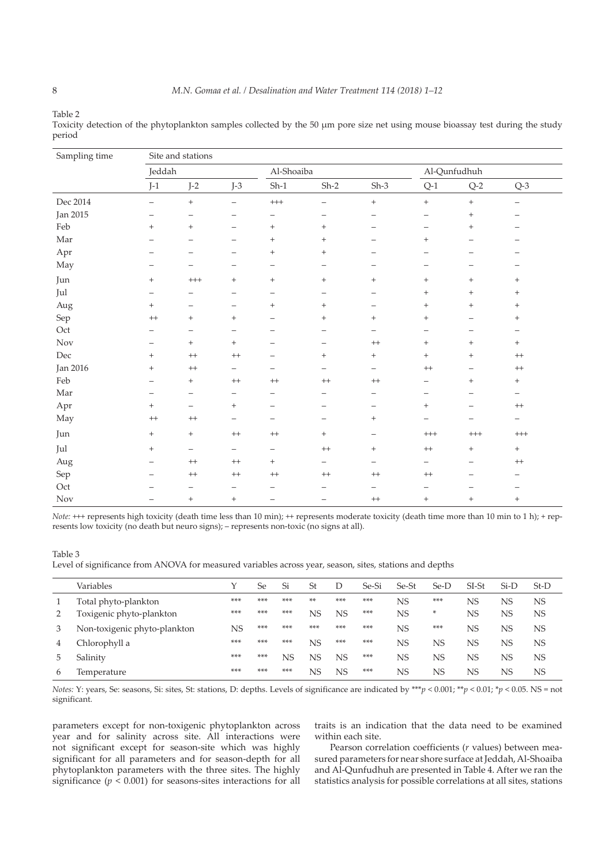Table 2

| Sampling time   |                          | Site and stations        |                          |                          |                                  |                          |                                  |                                  |                          |  |
|-----------------|--------------------------|--------------------------|--------------------------|--------------------------|----------------------------------|--------------------------|----------------------------------|----------------------------------|--------------------------|--|
|                 | Jeddah                   |                          |                          | Al-Shoaiba               |                                  |                          |                                  | Al-Qunfudhuh                     |                          |  |
|                 | $J-1$                    | $J-2$                    | $J-3$                    | $Sh-1$                   | $Sh-2$                           | $Sh-3$                   | $Q-1$                            | $Q-2$                            | $Q-3$                    |  |
| Dec 2014        | $\qquad \qquad -$        | $^{+}$                   | $\overline{\phantom{m}}$ | $^{+++}$                 | $\qquad \qquad -$                | $\, +$                   | $+$                              | $+$                              | $\qquad \qquad -$        |  |
| <b>Jan 2015</b> | $\overline{\phantom{0}}$ | $\qquad \qquad$          | $\overline{\phantom{0}}$ | -                        | $\qquad \qquad -$                | $\overline{\phantom{0}}$ | $\overline{\phantom{0}}$         | $\begin{array}{c} + \end{array}$ | $\qquad \qquad -$        |  |
| Feb             | $\qquad \qquad +$        | $+$                      | $\overline{\phantom{m}}$ | $\! + \!\!\!\!$          | $\qquad \qquad +$                | $\overline{\phantom{0}}$ | $\overbrace{\phantom{12322111}}$ | $\qquad \qquad +$                | $\overline{\phantom{0}}$ |  |
| Mar             |                          | -                        |                          | $^{+}$                   | $\qquad \qquad +$                | $\overline{\phantom{0}}$ | $^{+}$                           | $\overline{\phantom{0}}$         |                          |  |
| Apr             | —                        | -                        | $\qquad \qquad -$        | $^{+}$                   | $\qquad \qquad +$                | —                        |                                  |                                  |                          |  |
| May             | $\qquad \qquad -$        | $\qquad \qquad -$        | $\overline{\phantom{m}}$ | -                        | $\overline{\phantom{m}}$         | $\qquad \qquad -$        | $\qquad \qquad -$                | -                                |                          |  |
| Jun             | $\qquad \qquad +$        | $^{+++}$                 | $\qquad \qquad +$        | $^{+}$                   | $\qquad \qquad +$                | $+$                      | $^{+}$                           | $^{+}$                           | $^{+}$                   |  |
| Jul             |                          | -                        | $\overline{\phantom{m}}$ | $\qquad \qquad -$        | $\overline{\phantom{m}}$         | $\qquad \qquad -$        | $^{+}$                           | $\begin{array}{c} + \end{array}$ | $^{+}$                   |  |
| Aug             | $^{+}$                   | —                        | $\overline{\phantom{m}}$ | $^{+}$                   | $\! + \!\!\!\!$                  | $\qquad \qquad -$        | $^{+}$                           | $^{+}$                           | $^{+}$                   |  |
| Sep             | $^{++}$                  | $+$                      | $\qquad \qquad +$        | $\overline{\phantom{0}}$ | $\begin{array}{c} + \end{array}$ | $^{+}$                   | $^{+}$                           | $\overline{\phantom{0}}$         | $^{+}$                   |  |
| Oct             |                          | $\qquad \qquad -$        | $\overline{\phantom{m}}$ | —                        |                                  | $\overline{\phantom{m}}$ | $\overbrace{\phantom{12322111}}$ | -                                | $\qquad \qquad -$        |  |
| Nov             | $\overline{\phantom{0}}$ | $+$                      | $\ddot{}$                | $\overline{\phantom{0}}$ | $\overline{\phantom{0}}$         | $^{++}$                  | $^{+}$                           | $\qquad \qquad +$                | $^{+}$                   |  |
| Dec             | $^{+}$                   | $^{++}$                  | $^{\rm ++}$              | -                        | $\begin{array}{c} + \end{array}$ | $^{+}$                   | $+$                              | $^{+}$                           | $^{++}$                  |  |
| Jan 2016        | $^{+}$                   | $^{++}$                  | $\overline{\phantom{m}}$ | $\overline{\phantom{0}}$ | $\overline{\phantom{m}}$         | $\qquad \qquad -$        | $+ +$                            | $\overline{\phantom{0}}$         | $^{++}$                  |  |
| Feb             | $\overline{\phantom{0}}$ | $\qquad \qquad +$        | $^{\rm ++}$              | $^{++}$                  | $++$                             | $++$                     | $\qquad \qquad -$                | $\begin{array}{c} + \end{array}$ | $^{+}$                   |  |
| Mar             |                          | $\overline{\phantom{m}}$ | $\overline{\phantom{m}}$ | -                        | $\overline{\phantom{0}}$         | $\overline{\phantom{m}}$ | $\overbrace{\phantom{12322111}}$ | $\qquad \qquad -$                | $\overline{\phantom{m}}$ |  |
| Apr             | $^{+}$                   | $\qquad \qquad -$        | $^{+}$                   | $\overline{\phantom{0}}$ | $\overline{\phantom{0}}$         | $\overline{\phantom{0}}$ | $^{+}$                           | $\overline{\phantom{0}}$         | $+ +$                    |  |
| May             | $++$                     | $^{++}$                  | $\qquad \qquad -$        | $\overline{\phantom{0}}$ | $\overline{\phantom{0}}$         | $^{+}$                   | $\overline{\phantom{0}}$         | $\overline{\phantom{0}}$         | $\overline{\phantom{0}}$ |  |
| Jun             | $^{+}$                   | $+$                      | $^{\rm ++}$              | $^{++}$                  | $+$                              | $\qquad \qquad -$        | $^{+++}$                         | $^{+++}$                         | $^{+++}$                 |  |
| Jul             | $^{+}$                   | $\overline{\phantom{0}}$ | $\qquad \qquad -$        | $\overline{\phantom{0}}$ | $^{++}$                          | $\qquad \qquad +$        | $^{++}$                          | $\qquad \qquad +$                | $^{+}$                   |  |
| Aug             | $\overline{\phantom{0}}$ | $^{++}$                  | $^{\rm ++}$              | $^{+}$                   | $\overline{\phantom{m}}$         | $\qquad \qquad -$        | $\qquad \qquad -$                | $\overline{\phantom{0}}$         | $^{++}$                  |  |
| Sep             |                          | $^{++}$                  | $^{\rm ++}$              | $^{++}$                  | $++$                             | $++$                     | $^{\rm ++}$                      | $\overline{\phantom{0}}$         |                          |  |
| Oct             |                          | -                        |                          |                          |                                  | $\overline{\phantom{0}}$ |                                  |                                  |                          |  |
| Nov             |                          | $+$                      | $+$                      | $\overline{\phantom{0}}$ | $\overline{\phantom{0}}$         | $++$                     | $^{+}$                           | $^{+}$                           | $^{+}$                   |  |

Toxicity detection of the phytoplankton samples collected by the 50 µm pore size net using mouse bioassay test during the study period

*Note*: +++ represents high toxicity (death time less than 10 min); ++ represents moderate toxicity (death time more than 10 min to 1 h); + represents low toxicity (no death but neuro signs); – represents non-toxic (no signs at all).

Level of significance from ANOVA for measured variables across year, season, sites, stations and depths

|   | Variables                    |     | Se  | Si  | St  | D   | Se-Si | Se-St | Se-D | $SI-St$   | $Si-D$    | $St-D$    |
|---|------------------------------|-----|-----|-----|-----|-----|-------|-------|------|-----------|-----------|-----------|
|   | Total phyto-plankton         | *** | *** | *** | **  | *** | ***   | NS    | ***  | <b>NS</b> | NS        | <b>NS</b> |
|   | Toxigenic phyto-plankton     | *** | *** | *** | NS  | NS  | ***   | NS    | ×    | <b>NS</b> | <b>NS</b> | <b>NS</b> |
| 3 | Non-toxigenic phyto-plankton | NS  | *** | *** | *** | *** | ***   | NS    | ***  | <b>NS</b> | NS        | <b>NS</b> |
| 4 | Chlorophyll a                | *** | *** | *** | NS  | *** | ***   | NS    | NS   | <b>NS</b> | NS        | <b>NS</b> |
|   | Salinity                     | *** | *** | NS  | NS  | NS  | ***   | NS    | NS   | <b>NS</b> | NS        | NS.       |
| 6 | Temperature                  | *** | *** | *** | NS  | NS  | ***   | NS    | NS   | NS        | NS        | <b>NS</b> |

*Notes:* Y: years, Se: seasons, Si: sites, St: stations, D: depths. Levels of significance are indicated by \*\*\**p* < 0.001; \*\**p* < 0.01; \**p* < 0.05. NS = not significant.

parameters except for non-toxigenic phytoplankton across year and for salinity across site. All interactions were not significant except for season-site which was highly significant for all parameters and for season-depth for all phytoplankton parameters with the three sites. The highly significance  $(p < 0.001)$  for seasons-sites interactions for all traits is an indication that the data need to be examined within each site.

Pearson correlation coefficients (*r* values) between measured parameters for near shore surface at Jeddah, Al-Shoaiba and Al-Qunfudhuh are presented in Table 4. After we ran the statistics analysis for possible correlations at all sites, stations

Table 3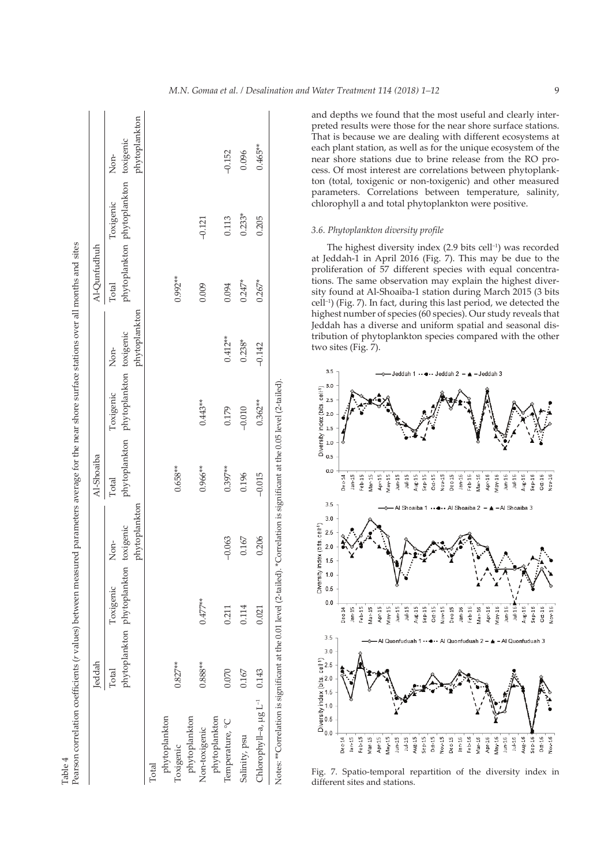|                                         | leddah    |                                                    |               | Al-Shoaiba |                                                    |               | Al-Qunfudhuh |                                                    |               |
|-----------------------------------------|-----------|----------------------------------------------------|---------------|------------|----------------------------------------------------|---------------|--------------|----------------------------------------------------|---------------|
|                                         | Total     | phytoplankton phytoplankton toxigenic<br>Toxigenic | Non-          | Total      | phytoplankton phytoplankton toxigenic<br>Toxigenic | Non-          | Total        | phytoplankton phytoplankton toxigenic<br>Toxigenic | Non-          |
|                                         |           |                                                    | phytoplankton |            |                                                    | phytoplankton |              |                                                    | phytoplankton |
| Total                                   |           |                                                    |               |            |                                                    |               |              |                                                    |               |
| phytoplankton                           |           |                                                    |               |            |                                                    |               |              |                                                    |               |
| Toxigenic                               | $0.827**$ |                                                    |               | $0.658**$  |                                                    |               | $0.992**$    |                                                    |               |
| phytoplankton                           |           |                                                    |               |            |                                                    |               |              |                                                    |               |
| Non-toxigenic                           | $0.888**$ | $0.477***$                                         |               | $0.966**$  | $0.443**$                                          |               | 0.009        | $-0.121$                                           |               |
| phytoplankton                           |           |                                                    |               |            |                                                    |               |              |                                                    |               |
| Temperature, °C                         | 0.070     | 0.211                                              | $-0.063$      | $0.397**$  | 0.179                                              | $0.412**$     | 0.094        | 0.113                                              | $-0.152$      |
| Salinity, psu                           | 0.167     | 0.114                                              | 0.167         | 0.196      | $-0.010$                                           | $0.238*$      | $0.247*$     | $0.233*$                                           | 0.096         |
| Chlorophyll-a, ug L <sup>-1</sup> 0.143 |           | 0.021                                              | 0.206         | $-0.015$   | $0.362**$                                          | $-0.142$      | $0.267*$     | 0.205                                              | $0.465***$    |

Table 4

l,

and depths we found that the most useful and clearly inter preted results were those for the near shore surface stations. That is because we are dealing with different ecosystems at each plant station, as well as for the unique ecosystem of the near shore stations due to brine release from the RO pro cess. Of most interest are correlations between phytoplank ton (total, toxigenic or non-toxigenic) and other measured parameters. Correlations between temperature, salinity, chlorophyll a and total phytoplankton were positive.

## *3.6. Phytoplankton diversity profile*

The highest diversity index  $(2.9 \text{ bits cell}^{-1})$  was recorded at Jeddah-1 in April 2016 (Fig. 7). This may be due to the proliferation of 57 different species with equal concentra tions. The same observation may explain the highest diver sity found at Al-Shoaiba-1 station during March 2015 (3 bits cell–1) (Fig . 7). In fact, during this last period, we detected the highest number of species (60 species). Our study reveals that Jeddah has a diverse and uniform spatial and seasonal dis tribution of phytoplankton species compared with the other two sites (Fig. 7).



Fig. 7. Spatio-temporal repartition of the diversity index in different sites and stations.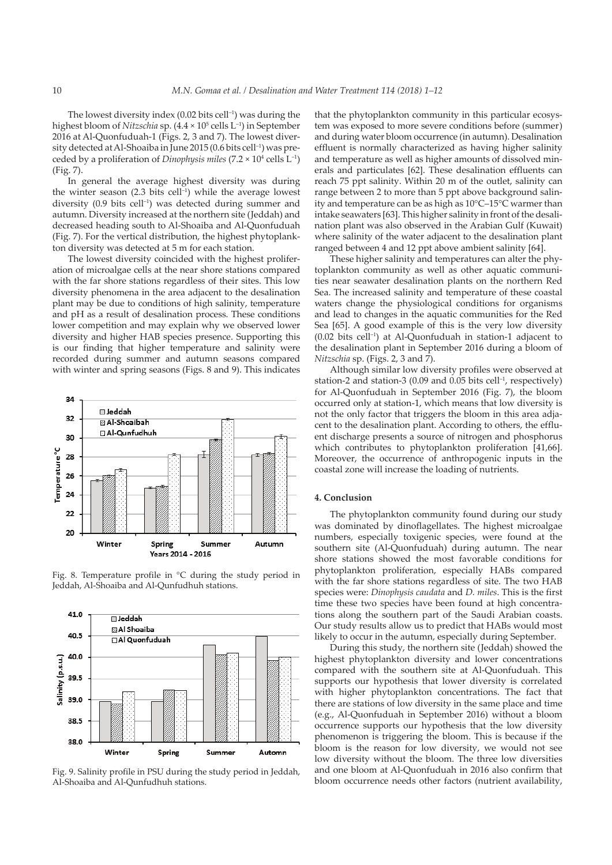The lowest diversity index  $(0.02 \text{ bits cell}^{-1})$  was during the highest bloom of *Nitzschia* sp. (4.4 × 10<sup>5</sup> cells L<sup>-1</sup>) in September 2016 at Al-Quonfuduah-1 (Figs. 2, 3 and 7). The lowest diversity detected at Al-Shoaiba in June 2015 (0.6 bits cell<sup>-1</sup>) was preceded by a proliferation of *Dinophysis miles* (7.2 × 104 cells L–1) (Fig. 7).

In general the average highest diversity was during the winter season  $(2.3 \text{ bits cell}^{-1})$  while the average lowest diversity (0.9 bits cell–1) was detected during summer and autumn. Diversity increased at the northern site (Jeddah) and decreased heading south to Al-Shoaiba and Al-Quonfuduah (Fig. 7). For the vertical distribution, the highest phytoplankton diversity was detected at 5 m for each station.

The lowest diversity coincided with the highest proliferation of microalgae cells at the near shore stations compared with the far shore stations regardless of their sites. This low diversity phenomena in the area adjacent to the desalination plant may be due to conditions of high salinity, temperature and pH as a result of desalination process. These conditions lower competition and may explain why we observed lower diversity and higher HAB species presence. Supporting this is our finding that higher temperature and salinity were recorded during summer and autumn seasons compared with winter and spring seasons (Figs. 8 and 9). This indicates



Fig. 8. Temperature profile in °C during the study period in Jeddah, Al-Shoaiba and Al-Qunfudhuh stations.



Fig. 9. Salinity profile in PSU during the study period in Jeddah, Al-Shoaiba and Al-Qunfudhuh stations.

that the phytoplankton community in this particular ecosystem was exposed to more severe conditions before (summer) and during water bloom occurrence (in autumn). Desalination effluent is normally characterized as having higher salinity and temperature as well as higher amounts of dissolved minerals and particulates [62]. These desalination effluents can reach 75 ppt salinity. Within 20 m of the outlet, salinity can range between 2 to more than 5 ppt above background salinity and temperature can be as high as 10°C–15°C warmer than intake seawaters [63]. This higher salinity in front of the desalination plant was also observed in the Arabian Gulf (Kuwait) where salinity of the water adjacent to the desalination plant ranged between 4 and 12 ppt above ambient salinity [64].

These higher salinity and temperatures can alter the phytoplankton community as well as other aquatic communities near seawater desalination plants on the northern Red Sea. The increased salinity and temperature of these coastal waters change the physiological conditions for organisms and lead to changes in the aquatic communities for the Red Sea [65]. A good example of this is the very low diversity (0.02 bits cell–1) at Al-Quonfuduah in station-1 adjacent to the desalination plant in September 2016 during a bloom of *Nitzschia* sp. (Figs. 2, 3 and 7).

Although similar low diversity profiles were observed at station-2 and station-3 (0.09 and 0.05 bits cell<sup>-1</sup>, respectively) for Al-Quonfuduah in September 2016 (Fig. 7), the bloom occurred only at station-1, which means that low diversity is not the only factor that triggers the bloom in this area adjacent to the desalination plant. According to others, the effluent discharge presents a source of nitrogen and phosphorus which contributes to phytoplankton proliferation [41,66]. Moreover, the occurrence of anthropogenic inputs in the coastal zone will increase the loading of nutrients.

## **4. Conclusion**

The phytoplankton community found during our study was dominated by dinoflagellates. The highest microalgae numbers, especially toxigenic species, were found at the southern site (Al-Quonfuduah) during autumn. The near shore stations showed the most favorable conditions for phytoplankton proliferation, especially HABs compared with the far shore stations regardless of site. The two HAB species were: *Dinophysis caudata* and *D. miles*. This is the first time these two species have been found at high concentrations along the southern part of the Saudi Arabian coasts. Our study results allow us to predict that HABs would most likely to occur in the autumn, especially during September.

During this study, the northern site (Jeddah) showed the highest phytoplankton diversity and lower concentrations compared with the southern site at Al-Quonfuduah. This supports our hypothesis that lower diversity is correlated with higher phytoplankton concentrations. The fact that there are stations of low diversity in the same place and time (e.g., Al-Quonfuduah in September 2016) without a bloom occurrence supports our hypothesis that the low diversity phenomenon is triggering the bloom. This is because if the bloom is the reason for low diversity, we would not see low diversity without the bloom. The three low diversities and one bloom at Al-Quonfuduah in 2016 also confirm that bloom occurrence needs other factors (nutrient availability,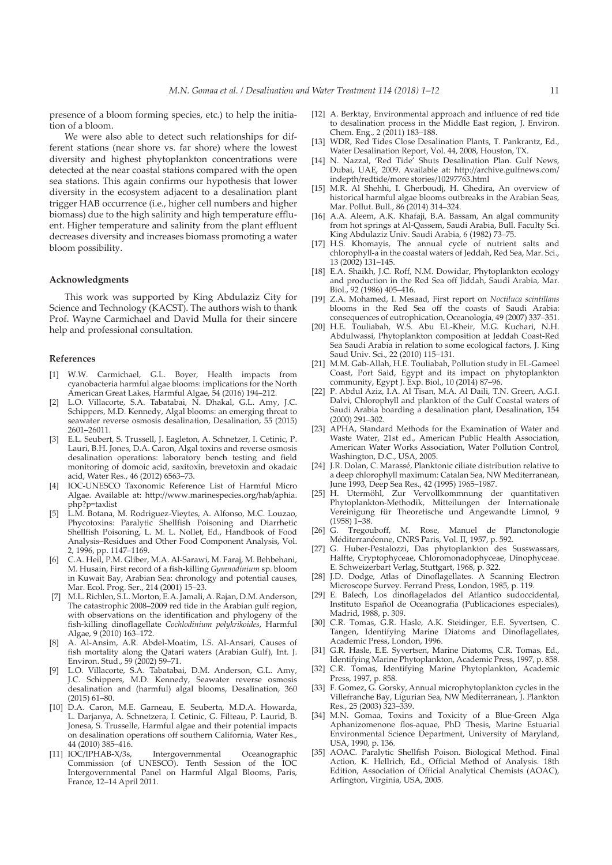presence of a bloom forming species, etc.) to help the initiation of a bloom.

We were also able to detect such relationships for different stations (near shore vs. far shore) where the lowest diversity and highest phytoplankton concentrations were detected at the near coastal stations compared with the open sea stations. This again confirms our hypothesis that lower diversity in the ecosystem adjacent to a desalination plant trigger HAB occurrence (i.e., higher cell numbers and higher biomass) due to the high salinity and high temperature effluent. Higher temperature and salinity from the plant effluent decreases diversity and increases biomass promoting a water bloom possibility.

#### **Acknowledgments**

This work was supported by King Abdulaziz City for Science and Technology (KACST). The authors wish to thank Prof. Wayne Carmichael and David Mulla for their sincere help and professional consultation.

#### **References**

- [1] W.W. Carmichael, G.L. Boyer, Health impacts from cyanobacteria harmful algae blooms: implications for the North American Great Lakes, Harmful Algae, 54 (2016) 194–212.
- L.O. Villacorte, S.A. Tabatabai, N. Dhakal, G.L. Amy, J.C. Schippers, M.D. Kennedy, Algal blooms: an emerging threat to seawater reverse osmosis desalination, Desalination, 55 (2015) 2601–26011.
- [3] E.L. Seubert, S. Trussell, J. Eagleton, A. Schnetzer, I. Cetinic, P. Lauri, B.H. Jones, D.A. Caron, Algal toxins and reverse osmosis desalination operations: laboratory bench testing and field monitoring of domoic acid, saxitoxin, brevetoxin and okadaic acid, Water Res., 46 (2012) 6563–73.
- [4] IOC-UNESCO Taxonomic Reference List of Harmful Micro Algae. Available at: http://www.marinespecies.org/hab/aphia. php?p=taxlist
- [5] L.M. Botana, M. Rodriguez-Vieytes, A. Alfonso, M.C. Louzao, Phycotoxins: Paralytic Shellfish Poisoning and Diarrhetic Shellfish Poisoning, L. M. L. Nollet, Ed., Handbook of Food Analysis–Residues and Other Food Component Analysis, Vol. 2, 1996, pp. 1147–1169.
- [6] C.A. Heil, P.M. Gliber, M.A. Al-Sarawi, M. Faraj, M. Behbehani, M. Husain, First record of a fish-killing *Gymnodinium* sp. bloom in Kuwait Bay, Arabian Sea: chronology and potential causes, Mar. Ecol. Prog. Ser., 214 (2001) 15–23.
- [7] M.L. Richlen, S.L. Morton, E.A. Jamali, A. Rajan, D.M. Anderson, The catastrophic 2008–2009 red tide in the Arabian gulf region, with observations on the identification and phylogeny of the fish-killing dinoflagellate *Cochlodinium polykrikoides*, Harmful Algae, 9 (2010) 163–172.
- [8] A. Al-Ansim, A.R. Abdel-Moatim, I.S. Al-Ansari, Causes of fish mortality along the Qatari waters (Arabian Gulf), Int. J. Environ. Stud., 59 (2002) 59–71.
- L.O. Villacorte, S.A. Tabatabai, D.M. Anderson, G.L. Amy, J.C. Schippers, M.D. Kennedy, Seawater reverse osmosis desalination and (harmful) algal blooms, Desalination, 360 (2015) 61–80.
- [10] D.A. Caron, M.E. Garneau, E. Seuberta, M.D.A. Howarda, L. Darjanya, A. Schnetzera, I. Cetinic, G. Filteau, P. Laurid, B. Jonesa, S. Trusselle, Harmful algae and their potential impacts on desalination operations off southern California, Water Res., 44 (2010) 385–416.
- [11] IOC/IPHAB-X/3s, Intergovernmental Oceanographic Commission (of UNESCO). Tenth Session of the IOC Intergovernmental Panel on Harmful Algal Blooms, Paris, France, 12–14 April 2011.
- [12] A. Berktay, Environmental approach and influence of red tide to desalination process in the Middle East region, J. Environ. Chem. Eng., 2 (2011) 183–188.
- [13] WDR, Red Tides Close Desalination Plants, T. Pankrantz, Ed., Water Desalination Report, Vol. 44, 2008, Houston, TX.
- [14] N. Nazzal, 'Red Tide' Shuts Desalination Plan. Gulf News, Dubai, UAE, 2009. Available at: http://archive.gulfnews.com/ indepth/redtide/more stories/10297763.html
- [15] M.R. Al Shehhi, I. Gherboudj, H. Ghedira, An overview of historical harmful algae blooms outbreaks in the Arabian Seas, Mar. Pollut. Bull., 86 (2014) 314–324.
- [16] A.A. Aleem, A.K. Khafaji, B.A. Bassam, An algal community from hot springs at Al-Qassem, Saudi Arabia, Bull. Faculty Sci. King Abdulaziz Univ. Saudi Arabia, 6 (1982) 73–75.
- [17] H.S. Khomayis, The annual cycle of nutrient salts and chlorophyll-a in the coastal waters of Jeddah, Red Sea, Mar. Sci., 13 (2002) 131–145.
- [18] E.A. Shaikh, J.C. Roff, N.M. Dowidar, Phytoplankton ecology and production in the Red Sea off Jiddah, Saudi Arabia, Mar. Biol., 92 (1986) 405–416.
- [19] Z.A. Mohamed, I. Mesaad, First report on *Noctiluca scintillans* blooms in the Red Sea off the coasts of Saudi Arabia: consequences of eutrophication, Oceanologia, 49 (2007) 337–351.
- [20] H.E. Touliabah, W.S. Abu EL-Kheir, M.G. Kuchari, N.H. Abdulwassi, Phytoplankton composition at Jeddah Coast-Red Sea Saudi Arabia in relation to some ecological factors, J. King Saud Univ. Sci., 22 (2010) 115–131.
- [21] M.M. Gab-Allah, H.E. Touliabah, Pollution study in EL-Gameel Coast, Port Said, Egypt and its impact on phytoplankton community, Egypt J. Exp. Biol., 10 (2014) 87–96.
- [22] P. Abdul Aziz, I.A. Al Tisan, M.A. Al Daili, T.N. Green, A.G.I. Dalvi, Chlorophyll and plankton of the Gulf Coastal waters of Saudi Arabia boarding a desalination plant, Desalination, 154 (2000) 291–302.
- [23] APHA, Standard Methods for the Examination of Water and Waste Water, 21st ed., American Public Health Association, American Water Works Association, Water Pollution Control, Washington, D.C., USA, 2005.
- [24] J.R. Dolan, C. Marassé, Planktonic ciliate distribution relative to a deep chlorophyll maximum: Catalan Sea, NW Mediterranean, June 1993, Deep Sea Res., 42 (1995) 1965–1987.
- [25] H. Utermöhl, Zur Vervollkommnung der quantitativen Phytoplankton-Methodik, Mitteilungen der Internationale Vereinigung für Theoretische und Angewandte Limnol, 9 (1958) 1–38.
- [26] G. Tregouboff, M. Rose, Manuel de Planctonologie Méditerranéenne, CNRS Paris, Vol. II, 1957, p. 592.
- [27] G. Huber-Pestalozzi, Das phytoplankton des Susswassars, Halfte, Cryptophyceae, Chloromonadophyceae, Dinophyceae. E. Schweizerbart Verlag, Stuttgart, 1968, p. 322.
- [28] J.D. Dodge, Atlas of Dinoflagellates. A Scanning Electron Microscope Survey. Ferrand Press, London, 1985, p. 119.
- [29] E. Balech, Los dinoflagelados del Atlantico sudoccidental, Instituto Español de Oceanografia (Publicaciones especiales), Madrid, 1988, p. 309.
- [30] C.R. Tomas, G.R. Hasle, A.K. Steidinger, E.E. Syvertsen, C. Tangen, Identifying Marine Diatoms and Dinoflagellates, Academic Press, London, 1996.
- [31] G.R. Hasle, E.E. Syvertsen, Marine Diatoms, C.R. Tomas, Ed., Identifying Marine Phytoplankton, Academic Press, 1997, p. 858.
- [32] C.R. Tomas, Identifying Marine Phytoplankton, Academic Press, 1997, p. 858.
- [33] F. Gomez, G. Gorsky, Annual microphytoplankton cycles in the Villefranche Bay, Ligurian Sea, NW Mediterranean, J. Plankton Res., 25 (2003) 323–339.
- [34] M.N. Gomaa, Toxins and Toxicity of a Blue-Green Alga Aphanizomenone flos-aquae, PhD Thesis, Marine Estuarial Environmental Science Department, University of Maryland, USA, 1990, p. 136.
- [35] AOAC. Paralytic Shellfish Poison. Biological Method. Final Action, K. Hellrich, Ed., Official Method of Analysis. 18th Edition, Association of Official Analytical Chemists (AOAC), Arlington, Virginia, USA, 2005.